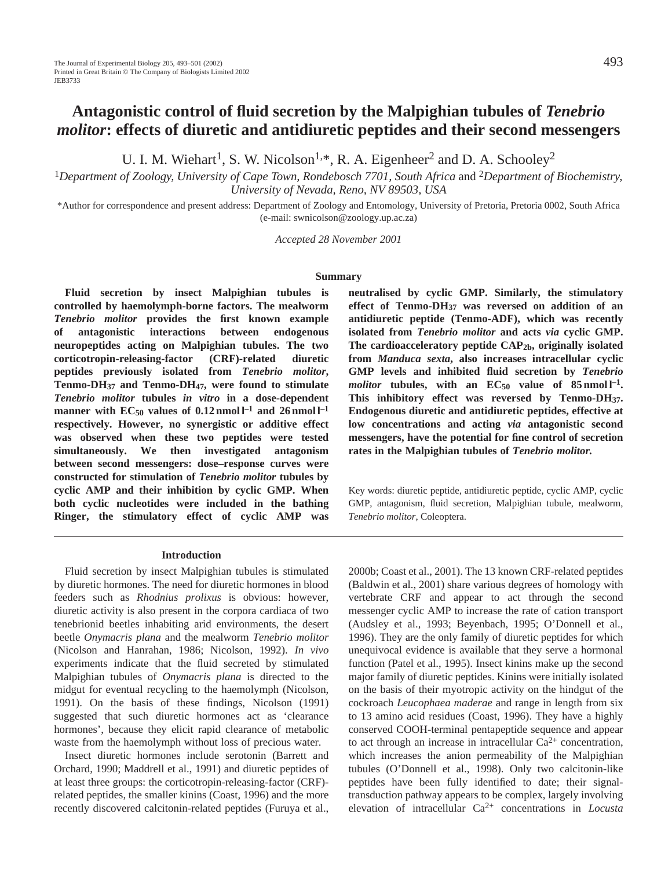# **Antagonistic control of fluid secretion by the Malpighian tubules of** *Tenebrio molitor***: effects of diuretic and antidiuretic peptides and their second messengers**

U. I. M. Wiehart<sup>1</sup>, S. W. Nicolson<sup>1,\*</sup>, R. A. Eigenheer<sup>2</sup> and D. A. Schooley<sup>2</sup>

<sup>1</sup>*Department of Zoology, University of Cape Town, Rondebosch 7701, South Africa* and 2*Department of Biochemistry, University of Nevada, Reno, NV 89503, USA*

\*Author for correspondence and present address: Department of Zoology and Entomology, University of Pretoria, Pretoria 0002, South Africa (e-mail: swnicolson@zoology.up.ac.za)

*Accepted 28 November 2001*

#### **Summary**

**Fluid secretion by insect Malpighian tubules is controlled by haemolymph-borne factors. The mealworm** *Tenebrio molitor* **provides the first known example of antagonistic interactions between endogenous neuropeptides acting on Malpighian tubules. The two corticotropin-releasing-factor (CRF)-related diuretic peptides previously isolated from** *Tenebrio molitor***, Tenmo-DH37 and Tenmo-DH47, were found to stimulate** *Tenebrio molitor* **tubules** *in vitro* **in a dose-dependent manner** with  $EC_{50}$  values of  $0.12$  nmol  $l^{-1}$  and  $26$  nmol  $l^{-1}$ **respectively. However, no synergistic or additive effect was observed when these two peptides were tested simultaneously. We then investigated antagonism between second messengers: dose–response curves were constructed for stimulation of** *Tenebrio molitor* **tubules by cyclic AMP and their inhibition by cyclic GMP. When both cyclic nucleotides were included in the bathing Ringer, the stimulatory effect of cyclic AMP was**

#### **Introduction**

Fluid secretion by insect Malpighian tubules is stimulated by diuretic hormones. The need for diuretic hormones in blood feeders such as *Rhodnius prolixus* is obvious: however, diuretic activity is also present in the corpora cardiaca of two tenebrionid beetles inhabiting arid environments, the desert beetle *Onymacris plana* and the mealworm *Tenebrio molitor* (Nicolson and Hanrahan, 1986; Nicolson, 1992). *In vivo* experiments indicate that the fluid secreted by stimulated Malpighian tubules of *Onymacris plana* is directed to the midgut for eventual recycling to the haemolymph (Nicolson, 1991). On the basis of these findings, Nicolson (1991) suggested that such diuretic hormones act as 'clearance hormones', because they elicit rapid clearance of metabolic waste from the haemolymph without loss of precious water.

Insect diuretic hormones include serotonin (Barrett and Orchard, 1990; Maddrell et al., 1991) and diuretic peptides of at least three groups: the corticotropin-releasing-factor (CRF) related peptides, the smaller kinins (Coast, 1996) and the more recently discovered calcitonin-related peptides (Furuya et al.,

**neutralised by cyclic GMP. Similarly, the stimulatory effect of Tenmo-DH37 was reversed on addition of an antidiuretic peptide (Tenmo-ADF), which was recently isolated from** *Tenebrio molitor* **and acts** *via* **cyclic GMP. The cardioacceleratory peptide CAP2b, originally isolated from** *Manduca sexta***, also increases intracellular cyclic GMP levels and inhibited fluid secretion by** *Tenebrio molitor* **tubules**, with an  $EC_{50}$  value of 85 nmol  $l^{-1}$ . **This inhibitory effect was reversed by Tenmo-DH37. Endogenous diuretic and antidiuretic peptides, effective at low concentrations and acting** *via* **antagonistic second messengers, have the potential for fine control of secretion rates in the Malpighian tubules of** *Tenebrio molitor.*

Key words: diuretic peptide, antidiuretic peptide, cyclic AMP, cyclic GMP, antagonism, fluid secretion, Malpighian tubule, mealworm, *Tenebrio molitor*, Coleoptera.

2000b; Coast et al., 2001). The 13 known CRF-related peptides (Baldwin et al., 2001) share various degrees of homology with vertebrate CRF and appear to act through the second messenger cyclic AMP to increase the rate of cation transport (Audsley et al., 1993; Beyenbach, 1995; O'Donnell et al., 1996). They are the only family of diuretic peptides for which unequivocal evidence is available that they serve a hormonal function (Patel et al., 1995). Insect kinins make up the second major family of diuretic peptides. Kinins were initially isolated on the basis of their myotropic activity on the hindgut of the cockroach *Leucophaea maderae* and range in length from six to 13 amino acid residues (Coast, 1996). They have a highly conserved COOH-terminal pentapeptide sequence and appear to act through an increase in intracellular  $Ca^{2+}$  concentration, which increases the anion permeability of the Malpighian tubules (O'Donnell et al., 1998). Only two calcitonin-like peptides have been fully identified to date; their signaltransduction pathway appears to be complex, largely involving elevation of intracellular Ca2+ concentrations in *Locusta*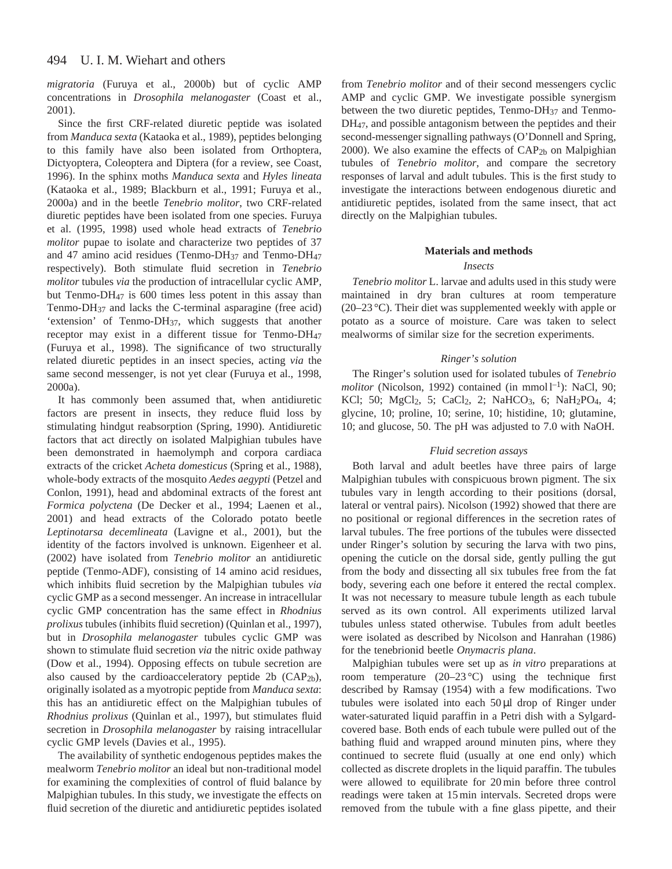*migratoria* (Furuya et al., 2000b) but of cyclic AMP concentrations in *Drosophila melanogaster* (Coast et al., 2001).

Since the first CRF-related diuretic peptide was isolated from *Manduca sexta* (Kataoka et al., 1989), peptides belonging to this family have also been isolated from Orthoptera, Dictyoptera, Coleoptera and Diptera (for a review, see Coast, 1996). In the sphinx moths *Manduca* s*exta* and *Hyles lineata* (Kataoka et al., 1989; Blackburn et al., 1991; Furuya et al., 2000a) and in the beetle *Tenebrio molitor*, two CRF-related diuretic peptides have been isolated from one species. Furuya et al. (1995, 1998) used whole head extracts of *Tenebrio molitor* pupae to isolate and characterize two peptides of 37 and 47 amino acid residues (Tenmo-DH $_{37}$  and Tenmo-DH $_{47}$ respectively). Both stimulate fluid secretion in *Tenebrio molitor* tubules *via* the production of intracellular cyclic AMP, but Tenmo-DH47 is 600 times less potent in this assay than Tenmo-DH37 and lacks the C-terminal asparagine (free acid) 'extension' of Tenmo-DH37, which suggests that another receptor may exist in a different tissue for Tenmo-DH47 (Furuya et al., 1998). The significance of two structurally related diuretic peptides in an insect species, acting *via* the same second messenger, is not yet clear (Furuya et al., 1998, 2000a).

It has commonly been assumed that, when antidiuretic factors are present in insects, they reduce fluid loss by stimulating hindgut reabsorption (Spring, 1990). Antidiuretic factors that act directly on isolated Malpighian tubules have been demonstrated in haemolymph and corpora cardiaca extracts of the cricket *Acheta domesticus* (Spring et al., 1988), whole-body extracts of the mosquito *Aedes aegypti* (Petzel and Conlon, 1991), head and abdominal extracts of the forest ant *Formica polyctena* (De Decker et al., 1994; Laenen et al., 2001) and head extracts of the Colorado potato beetle *Leptinotarsa decemlineata* (Lavigne et al., 2001), but the identity of the factors involved is unknown. Eigenheer et al. (2002) have isolated from *Tenebrio molitor* an antidiuretic peptide (Tenmo-ADF), consisting of 14 amino acid residues, which inhibits fluid secretion by the Malpighian tubules *via* cyclic GMP as a second messenger. An increase in intracellular cyclic GMP concentration has the same effect in *Rhodnius prolixus* tubules (inhibits fluid secretion) (Quinlan et al., 1997), but in *Drosophila melanogaster* tubules cyclic GMP was shown to stimulate fluid secretion *via* the nitric oxide pathway (Dow et al., 1994). Opposing effects on tubule secretion are also caused by the cardioacceleratory peptide 2b (CAP2b), originally isolated as a myotropic peptide from *Manduca sexta*: this has an antidiuretic effect on the Malpighian tubules of *Rhodnius prolixus* (Quinlan et al., 1997), but stimulates fluid secretion in *Drosophila melanogaster* by raising intracellular cyclic GMP levels (Davies et al., 1995).

The availability of synthetic endogenous peptides makes the mealworm *Tenebrio molitor* an ideal but non-traditional model for examining the complexities of control of fluid balance by Malpighian tubules. In this study, we investigate the effects on fluid secretion of the diuretic and antidiuretic peptides isolated

from *Tenebrio molitor* and of their second messengers cyclic AMP and cyclic GMP. We investigate possible synergism between the two diuretic peptides, Tenmo-DH37 and Tenmo-DH<sub>47</sub>, and possible antagonism between the peptides and their second-messenger signalling pathways (O'Donnell and Spring, 2000). We also examine the effects of  $CAP<sub>2b</sub>$  on Malpighian tubules of *Tenebrio molitor*, and compare the secretory responses of larval and adult tubules. This is the first study to investigate the interactions between endogenous diuretic and antidiuretic peptides, isolated from the same insect, that act directly on the Malpighian tubules.

### **Materials and methods**

# *Insects*

*Tenebrio molitor* L. larvae and adults used in this study were maintained in dry bran cultures at room temperature (20–23 °C). Their diet was supplemented weekly with apple or potato as a source of moisture. Care was taken to select mealworms of similar size for the secretion experiments.

# *Ringer's solution*

The Ringer's solution used for isolated tubules of *Tenebrio molitor* (Nicolson, 1992) contained (in mmol $l^{-1}$ ): NaCl, 90; KCl; 50; MgCl<sub>2</sub>, 5; CaCl<sub>2</sub>, 2; NaHCO<sub>3</sub>, 6; NaH<sub>2</sub>PO<sub>4</sub>, 4; glycine, 10; proline, 10; serine, 10; histidine, 10; glutamine, 10; and glucose, 50. The pH was adjusted to 7.0 with NaOH.

## *Fluid secretion assays*

Both larval and adult beetles have three pairs of large Malpighian tubules with conspicuous brown pigment. The six tubules vary in length according to their positions (dorsal, lateral or ventral pairs). Nicolson (1992) showed that there are no positional or regional differences in the secretion rates of larval tubules. The free portions of the tubules were dissected under Ringer's solution by securing the larva with two pins, opening the cuticle on the dorsal side, gently pulling the gut from the body and dissecting all six tubules free from the fat body, severing each one before it entered the rectal complex. It was not necessary to measure tubule length as each tubule served as its own control. All experiments utilized larval tubules unless stated otherwise. Tubules from adult beetles were isolated as described by Nicolson and Hanrahan (1986) for the tenebrionid beetle *Onymacris plana*.

Malpighian tubules were set up as *in vitro* preparations at room temperature  $(20-23 \degree C)$  using the technique first described by Ramsay (1954) with a few modifications. Two tubules were isolated into each  $50 \mu l$  drop of Ringer under water-saturated liquid paraffin in a Petri dish with a Sylgardcovered base. Both ends of each tubule were pulled out of the bathing fluid and wrapped around minuten pins, where they continued to secrete fluid (usually at one end only) which collected as discrete droplets in the liquid paraffin. The tubules were allowed to equilibrate for 20 min before three control readings were taken at 15 min intervals. Secreted drops were removed from the tubule with a fine glass pipette, and their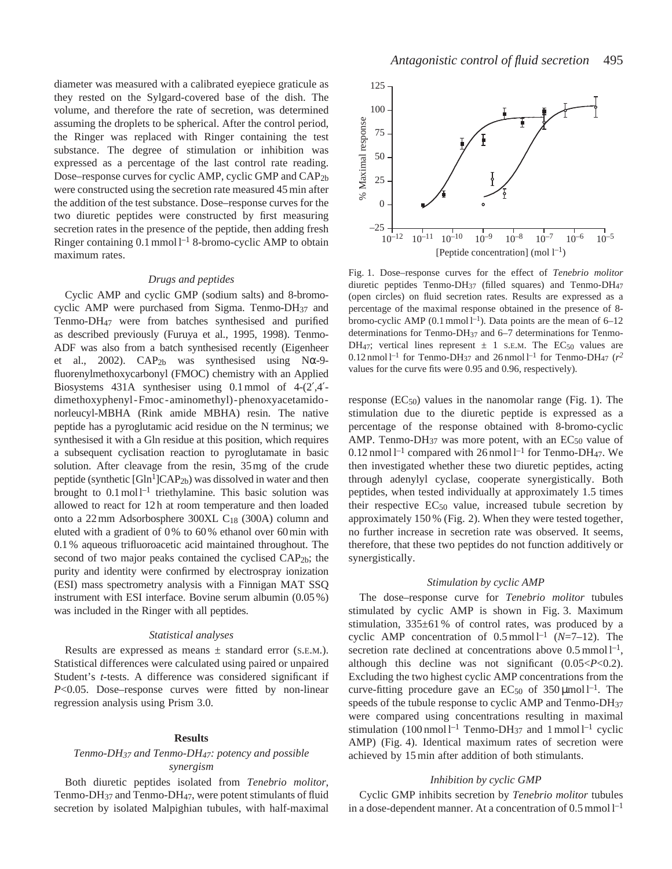diameter was measured with a calibrated eyepiece graticule as they rested on the Sylgard-covered base of the dish. The volume, and therefore the rate of secretion, was determined assuming the droplets to be spherical. After the control period, the Ringer was replaced with Ringer containing the test substance. The degree of stimulation or inhibition was expressed as a percentage of the last control rate reading. Dose–response curves for cyclic AMP, cyclic GMP and CAP2b were constructed using the secretion rate measured 45 min after the addition of the test substance. Dose–response curves for the two diuretic peptides were constructed by first measuring secretion rates in the presence of the peptide, then adding fresh Ringer containing  $0.1$  mmol  $l^{-1}$  8-bromo-cyclic AMP to obtain maximum rates.

#### *Drugs and peptides*

Cyclic AMP and cyclic GMP (sodium salts) and 8-bromocyclic AMP were purchased from Sigma. Tenmo-DH<sub>37</sub> and Tenmo-DH47 were from batches synthesised and purified as described previously (Furuya et al., 1995, 1998). Tenmo-ADF was also from a batch synthesised recently (Eigenheer et al., 2002).  $CAP<sub>2b</sub>$  was synthesised using N $\alpha$ -9fluorenylmethoxycarbonyl (FMOC) chemistry with an Applied Biosystems 431A synthesiser using 0.1 mmol of 4-(2′,4′ dimethoxyphenyl-Fmoc-aminomethyl)-phenoxyacetamidonorleucyl-MBHA (Rink amide MBHA) resin. The native peptide has a pyroglutamic acid residue on the N terminus; we synthesised it with a Gln residue at this position, which requires a subsequent cyclisation reaction to pyroglutamate in basic solution. After cleavage from the resin, 35 mg of the crude peptide (synthetic  $[G<sup>1</sup>]CAP<sub>2b</sub>$ ) was dissolved in water and then brought to  $0.1 \text{ mol}^{-1}$  triethylamine. This basic solution was allowed to react for 12 h at room temperature and then loaded onto a 22 mm Adsorbosphere 300XL C18 (300A) column and eluted with a gradient of 0 % to 60 % ethanol over 60 min with 0.1 % aqueous trifluoroacetic acid maintained throughout. The second of two major peaks contained the cyclised CAP<sub>2b</sub>; the purity and identity were confirmed by electrospray ionization (ESI) mass spectrometry analysis with a Finnigan MAT SSQ instrument with ESI interface. Bovine serum albumin (0.05 %) was included in the Ringer with all peptides.

# *Statistical analyses*

Results are expressed as means  $\pm$  standard error (S.E.M.). Statistical differences were calculated using paired or unpaired Student's *t*-tests. A difference was considered significant if *P*<0.05. Dose–response curves were fitted by non-linear regression analysis using Prism 3.0.

#### **Results**

# *Tenmo-DH37 and Tenmo-DH47: potency and possible synergism*

Both diuretic peptides isolated from *Tenebrio molitor*, Tenmo-DH37 and Tenmo-DH47, were potent stimulants of fluid secretion by isolated Malpighian tubules, with half-maximal



Fig. 1. Dose–response curves for the effect of *Tenebrio molitor* diuretic peptides Tenmo-DH37 (filled squares) and Tenmo-DH47 (open circles) on fluid secretion rates. Results are expressed as a percentage of the maximal response obtained in the presence of 8 bromo-cyclic AMP  $(0.1 \text{ mmol } l^{-1})$ . Data points are the mean of 6–12 determinations for Tenmo-DH37 and 6–7 determinations for Tenmo-DH<sub>47</sub>; vertical lines represent  $\pm$  1 s.E.M. The EC<sub>50</sub> values are  $0.12$  nmol l<sup>-1</sup> for Tenmo-DH<sub>37</sub> and 26 nmol l<sup>-1</sup> for Tenmo-DH<sub>47</sub> ( $r^2$ values for the curve fits were 0.95 and 0.96, respectively).

response  $(EC_{50})$  values in the nanomolar range (Fig. 1). The stimulation due to the diuretic peptide is expressed as a percentage of the response obtained with 8-bromo-cyclic AMP. Tenmo-DH $_{37}$  was more potent, with an EC $_{50}$  value of 0.12 nmol  $l^{-1}$  compared with 26 nmol  $l^{-1}$  for Tenmo-DH<sub>47</sub>. We then investigated whether these two diuretic peptides, acting through adenylyl cyclase, cooperate synergistically. Both peptides, when tested individually at approximately 1.5 times their respective  $EC_{50}$  value, increased tubule secretion by approximately 150 % (Fig. 2). When they were tested together, no further increase in secretion rate was observed. It seems, therefore, that these two peptides do not function additively or synergistically.

#### *Stimulation by cyclic AMP*

The dose–response curve for *Tenebrio molitor* tubules stimulated by cyclic AMP is shown in Fig. 3. Maximum stimulation, 335±61 % of control rates, was produced by a cyclic AMP concentration of  $0.5 \text{ mmol}^{-1}$  (*N*=7–12). The secretion rate declined at concentrations above  $0.5 \text{ mmol } l^{-1}$ , although this decline was not significant (0.05<*P*<0.2). Excluding the two highest cyclic AMP concentrations from the curve-fitting procedure gave an  $EC_{50}$  of 350 µmol l<sup>-1</sup>. The speeds of the tubule response to cyclic AMP and Tenmo-DH<sub>37</sub> were compared using concentrations resulting in maximal stimulation  $(100 \text{ nmol l}^{-1} \text{ Tenmo-DH}_{37}$  and 1 mmol  $l^{-1}$  cyclic AMP) (Fig. 4). Identical maximum rates of secretion were achieved by 15 min after addition of both stimulants.

### *Inhibition by cyclic GMP*

Cyclic GMP inhibits secretion by *Tenebrio molitor* tubules in a dose-dependent manner. At a concentration of  $0.5$  mmol  $l^{-1}$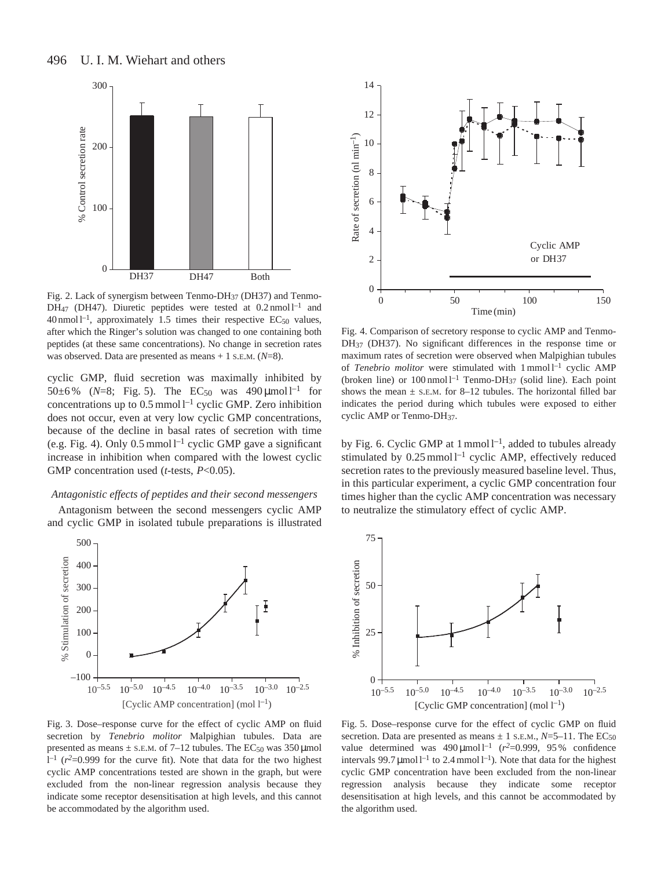

Fig. 2. Lack of synergism between Tenmo-DH37 (DH37) and Tenmo-DH<sub>47</sub> (DH47). Diuretic peptides were tested at  $0.2$  nmol  $l^{-1}$  and  $40$  nmol  $l^{-1}$ , approximately 1.5 times their respective EC<sub>50</sub> values, after which the Ringer's solution was changed to one containing both peptides (at these same concentrations). No change in secretion rates was observed. Data are presented as means + 1 S.E.M. (*N*=8).

cyclic GMP, fluid secretion was maximally inhibited by 50 $\pm$ 6% (*N*=8; Fig. 5). The EC<sub>50</sub> was 490 µmol l<sup>-1</sup> for concentrations up to  $0.5$  mmol  $l^{-1}$  cyclic GMP. Zero inhibition does not occur, even at very low cyclic GMP concentrations, because of the decline in basal rates of secretion with time (e.g. Fig. 4). Only  $0.5 \text{ mmol} \, \text{l}^{-1}$  cyclic GMP gave a significant increase in inhibition when compared with the lowest cyclic GMP concentration used (*t*-tests, *P*<0.05).

# *Antagonistic effects of peptides and their second messengers*

Antagonism between the second messengers cyclic AMP and cyclic GMP in isolated tubule preparations is illustrated



Fig. 3. Dose–response curve for the effect of cyclic AMP on fluid secretion by *Tenebrio molitor* Malpighian tubules. Data are presented as means  $\pm$  s.E.M. of 7–12 tubules. The EC<sub>50</sub> was 350 µmol  $l^{-1}$  ( $r^2$ =0.999 for the curve fit). Note that data for the two highest cyclic AMP concentrations tested are shown in the graph, but were excluded from the non-linear regression analysis because they indicate some receptor desensitisation at high levels, and this cannot be accommodated by the algorithm used.



Fig. 4. Comparison of secretory response to cyclic AMP and Tenmo-DH37 (DH37). No significant differences in the response time or maximum rates of secretion were observed when Malpighian tubules of *Tenebrio molitor* were stimulated with 1 mmol  $1^{-1}$  cyclic AMP (broken line) or  $100$  nmol  $l^{-1}$  Tenmo-DH<sub>37</sub> (solid line). Each point shows the mean  $\pm$  s.E.M. for 8–12 tubules. The horizontal filled bar indicates the period during which tubules were exposed to either cyclic AMP or Tenmo-DH37.

by Fig. 6. Cyclic GMP at  $1$  mmol  $1^{-1}$ , added to tubules already stimulated by  $0.25$  mmol  $l^{-1}$  cyclic AMP, effectively reduced secretion rates to the previously measured baseline level. Thus, in this particular experiment, a cyclic GMP concentration four times higher than the cyclic AMP concentration was necessary to neutralize the stimulatory effect of cyclic AMP.



Fig. 5. Dose–response curve for the effect of cyclic GMP on fluid secretion. Data are presented as means  $\pm$  1 s.E.M.,  $N = 5-11$ . The EC<sub>50</sub> value determined was  $490 \mu$ mol l<sup>-1</sup> ( $r^2$ =0.999, 95% confidence intervals 99.7  $\mu$ mol l<sup>-1</sup> to 2.4 mmol l<sup>-1</sup>). Note that data for the highest cyclic GMP concentration have been excluded from the non-linear regression analysis because they indicate some receptor desensitisation at high levels, and this cannot be accommodated by the algorithm used.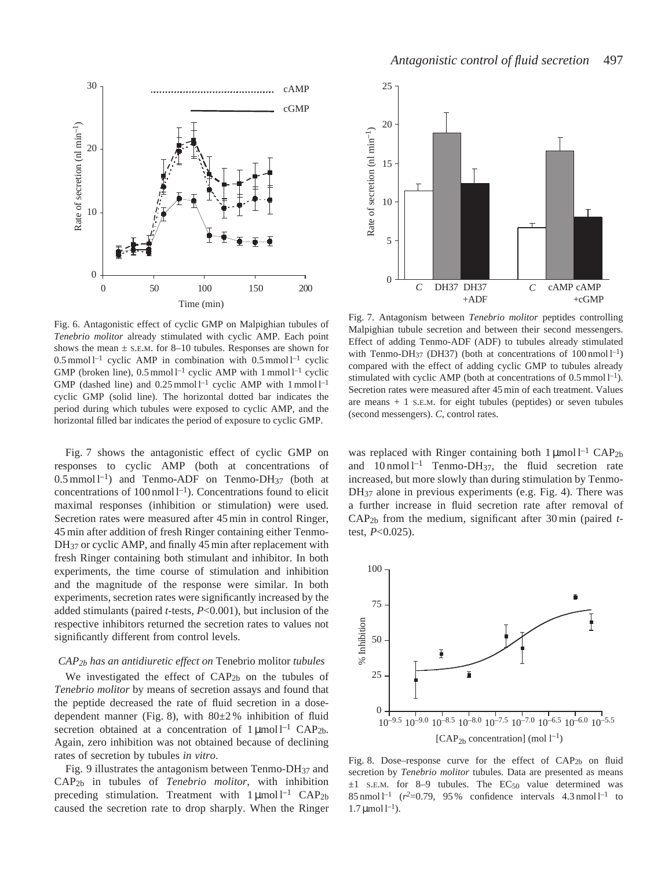



Fig. 6. Antagonistic effect of cyclic GMP on Malpighian tubules of *Tenebrio molitor* already stimulated with cyclic AMP. Each point shows the mean  $\pm$  s.E.M. for 8–10 tubules. Responses are shown for  $0.5$  mmol  $l^{-1}$  cyclic AMP in combination with  $0.5$  mmol  $l^{-1}$  cyclic GMP (broken line),  $0.5 \text{ mmol } l^{-1}$  cyclic AMP with 1 mmol  $l^{-1}$  cyclic GMP (dashed line) and  $0.25$  mmol  $l^{-1}$  cyclic AMP with 1 mmol  $l^{-1}$ cyclic GMP (solid line). The horizontal dotted bar indicates the period during which tubules were exposed to cyclic AMP, and the horizontal filled bar indicates the period of exposure to cyclic GMP.

Fig. 7 shows the antagonistic effect of cyclic GMP on responses to cyclic AMP (both at concentrations of  $0.5 \text{ mmol } l^{-1}$ ) and Tenmo-ADF on Tenmo-DH<sub>37</sub> (both at concentrations of  $100 \text{ nmol } l^{-1}$ ). Concentrations found to elicit maximal responses (inhibition or stimulation) were used. Secretion rates were measured after 45 min in control Ringer, 45 min after addition of fresh Ringer containing either Tenmo-DH<sub>37</sub> or cyclic AMP, and finally 45 min after replacement with fresh Ringer containing both stimulant and inhibitor. In both experiments, the time course of stimulation and inhibition and the magnitude of the response were similar. In both experiments, secretion rates were significantly increased by the added stimulants (paired *t*-tests, *P*<0.001), but inclusion of the respective inhibitors returned the secretion rates to values not significantly different from control levels.

#### *CAP2b has an antidiuretic effect on* Tenebrio molitor *tubules*

We investigated the effect of  $CAP<sub>2b</sub>$  on the tubules of *Tenebrio molitor* by means of secretion assays and found that the peptide decreased the rate of fluid secretion in a dosedependent manner (Fig. 8), with 80±2 % inhibition of fluid secretion obtained at a concentration of  $1 \mu$ mol l<sup>-1</sup> CAP<sub>2b</sub>. Again, zero inhibition was not obtained because of declining rates of secretion by tubules *in vitro*.

Fig. 9 illustrates the antagonism between Tenmo- $DH_{37}$  and CAP2b in tubules of *Tenebrio molitor*, with inhibition preceding stimulation. Treatment with  $1 \mu$ mol l<sup>-1</sup> CAP<sub>2b</sub> caused the secretion rate to drop sharply. When the Ringer



Fig. 7. Antagonism between *Tenebrio molitor* peptides controlling Malpighian tubule secretion and between their second messengers. Effect of adding Tenmo-ADF (ADF) to tubules already stimulated with Tenmo-DH<sub>37</sub> (DH37) (both at concentrations of  $100 \text{ nmol} l^{-1}$ ) compared with the effect of adding cyclic GMP to tubules already stimulated with cyclic AMP (both at concentrations of  $0.5 \text{ mmol } l^{-1}$ ). Secretion rates were measured after 45 min of each treatment. Values are means  $+1$  S.E.M. for eight tubules (peptides) or seven tubules (second messengers). *C*, control rates.

was replaced with Ringer containing both  $1 \mu$ mol l<sup>-1</sup> CAP<sub>2b</sub> and  $10 \text{ nmol } l^{-1}$  Tenmo-DH<sub>37</sub>, the fluid secretion rate increased, but more slowly than during stimulation by Tenmo-DH<sub>37</sub> alone in previous experiments (e.g. Fig. 4). There was a further increase in fluid secretion rate after removal of CAP2b from the medium, significant after 30 min (paired *t*test, *P*<0.025).



Fig. 8. Dose–response curve for the effect of CAP2b on fluid secretion by *Tenebrio molitor* tubules. Data are presented as means  $\pm 1$  S.E.M. for 8–9 tubules. The EC<sub>50</sub> value determined was 85 nmol  $l^{-1}$  ( $r^2 = 0.79$ , 95% confidence intervals 4.3 nmol  $l^{-1}$  to  $1.7 \mu$ mol  $l^{-1}$ ).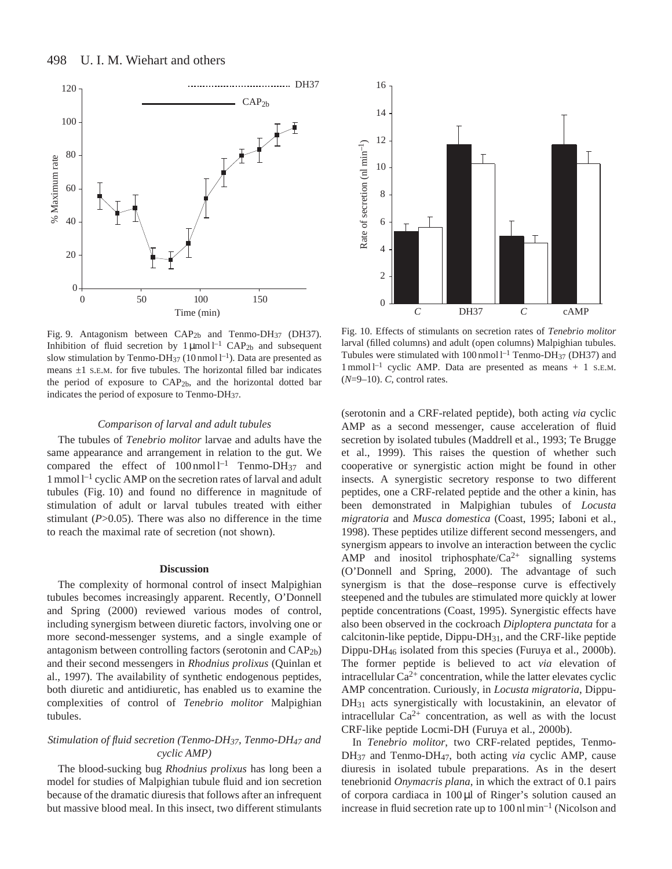

Fig. 9. Antagonism between CAP<sub>2b</sub> and Tenmo-DH<sub>37</sub> (DH37). Inhibition of fluid secretion by  $1 \mu$ mol l<sup>-1</sup> CAP<sub>2b</sub> and subsequent slow stimulation by Tenmo-DH<sub>37</sub> (10 nmol  $l^{-1}$ ). Data are presented as means  $\pm 1$  S.E.M. for five tubules. The horizontal filled bar indicates the period of exposure to CAP2b, and the horizontal dotted bar indicates the period of exposure to Tenmo-DH37.

#### *Comparison of larval and adult tubules*

The tubules of *Tenebrio molitor* larvae and adults have the same appearance and arrangement in relation to the gut. We compared the effect of  $100 \text{ nmol } l^{-1}$  Tenmo-DH<sub>37</sub> and  $1$  mmol  $1^{-1}$  cyclic AMP on the secretion rates of larval and adult tubules (Fig. 10) and found no difference in magnitude of stimulation of adult or larval tubules treated with either stimulant (*P*>0.05). There was also no difference in the time to reach the maximal rate of secretion (not shown).

#### **Discussion**

The complexity of hormonal control of insect Malpighian tubules becomes increasingly apparent. Recently, O'Donnell and Spring (2000) reviewed various modes of control, including synergism between diuretic factors, involving one or more second-messenger systems, and a single example of antagonism between controlling factors (serotonin and CAP2b) and their second messengers in *Rhodnius prolixus* (Quinlan et al., 1997). The availability of synthetic endogenous peptides, both diuretic and antidiuretic, has enabled us to examine the complexities of control of *Tenebrio molitor* Malpighian tubules.

# *Stimulation of fluid secretion (Tenmo-DH37, Tenmo-DH47 and cyclic AMP)*

The blood-sucking bug *Rhodnius prolixus* has long been a model for studies of Malpighian tubule fluid and ion secretion because of the dramatic diuresis that follows after an infrequent but massive blood meal. In this insect, two different stimulants



Fig. 10. Effects of stimulants on secretion rates of *Tenebrio molitor* larval (filled columns) and adult (open columns) Malpighian tubules. Tubules were stimulated with  $100$  nmol  $l^{-1}$  Tenmo-DH<sub>37</sub> (DH37) and  $1$  mmol  $1^{-1}$  cyclic AMP. Data are presented as means  $+1$  S.E.M. (*N*=9–10). *C*, control rates.

(serotonin and a CRF-related peptide), both acting *via* cyclic AMP as a second messenger, cause acceleration of fluid secretion by isolated tubules (Maddrell et al., 1993; Te Brugge et al., 1999). This raises the question of whether such cooperative or synergistic action might be found in other insects. A synergistic secretory response to two different peptides, one a CRF-related peptide and the other a kinin, has been demonstrated in Malpighian tubules of *Locusta migratoria* and *Musca domestica* (Coast, 1995; Iaboni et al., 1998). These peptides utilize different second messengers, and synergism appears to involve an interaction between the cyclic AMP and inositol triphosphate/ $Ca^{2+}$  signalling systems (O'Donnell and Spring, 2000). The advantage of such synergism is that the dose–response curve is effectively steepened and the tubules are stimulated more quickly at lower peptide concentrations (Coast, 1995). Synergistic effects have also been observed in the cockroach *Diploptera punctata* for a calcitonin-like peptide, Dippu-DH31, and the CRF-like peptide Dippu-DH46 isolated from this species (Furuya et al., 2000b). The former peptide is believed to act *via* elevation of intracellular  $Ca^{2+}$  concentration, while the latter elevates cyclic AMP concentration. Curiously, in *Locusta migratoria*, Dippu-DH<sub>31</sub> acts synergistically with locustakinin, an elevator of intracellular  $Ca^{2+}$  concentration, as well as with the locust CRF-like peptide Locmi-DH (Furuya et al., 2000b).

In *Tenebrio molitor*, two CRF-related peptides, Tenmo-DH37 and Tenmo-DH47, both acting *via* cyclic AMP, cause diuresis in isolated tubule preparations. As in the desert tenebrionid *Onymacris plana*, in which the extract of 0.1 pairs of corpora cardiaca in 100 µl of Ringer's solution caused an increase in fluid secretion rate up to  $100 \text{ nl min}^{-1}$  (Nicolson and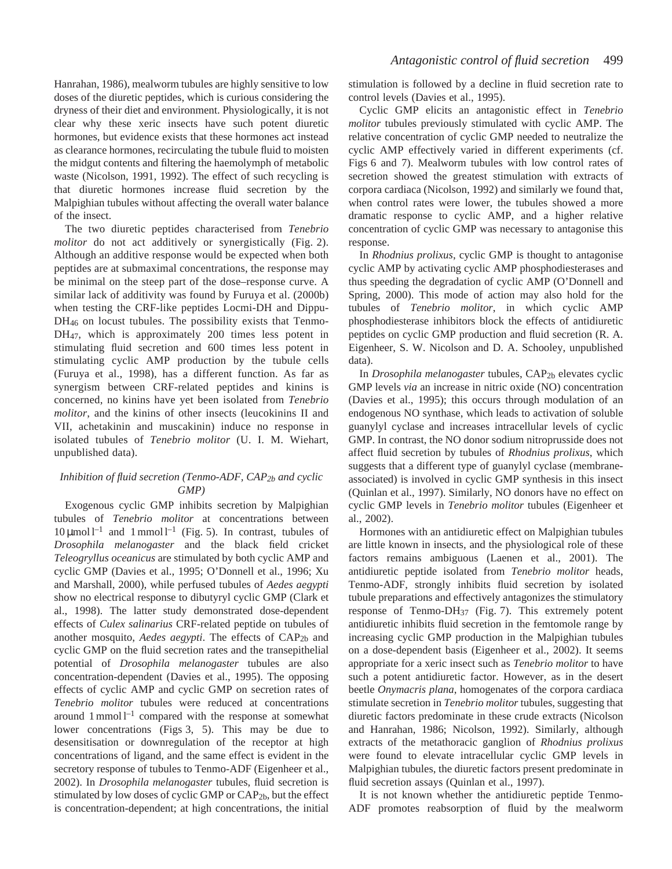Hanrahan, 1986), mealworm tubules are highly sensitive to low doses of the diuretic peptides, which is curious considering the dryness of their diet and environment. Physiologically, it is not clear why these xeric insects have such potent diuretic hormones, but evidence exists that these hormones act instead as clearance hormones, recirculating the tubule fluid to moisten the midgut contents and filtering the haemolymph of metabolic waste (Nicolson, 1991, 1992). The effect of such recycling is that diuretic hormones increase fluid secretion by the Malpighian tubules without affecting the overall water balance of the insect.

The two diuretic peptides characterised from *Tenebrio molitor* do not act additively or synergistically (Fig. 2). Although an additive response would be expected when both peptides are at submaximal concentrations, the response may be minimal on the steep part of the dose–response curve. A similar lack of additivity was found by Furuya et al. (2000b) when testing the CRF-like peptides Locmi-DH and Dippu-DH<sub>46</sub> on locust tubules. The possibility exists that Tenmo-DH47, which is approximately 200 times less potent in stimulating fluid secretion and 600 times less potent in stimulating cyclic AMP production by the tubule cells (Furuya et al., 1998), has a different function. As far as synergism between CRF-related peptides and kinins is concerned, no kinins have yet been isolated from *Tenebrio molitor*, and the kinins of other insects (leucokinins II and VII, achetakinin and muscakinin) induce no response in isolated tubules of *Tenebrio molitor* (U. I. M. Wiehart, unpublished data).

# *Inhibition of fluid secretion (Tenmo-ADF, CAP2b and cyclic GMP)*

Exogenous cyclic GMP inhibits secretion by Malpighian tubules of *Tenebrio molitor* at concentrations between  $10 \mu$ mol l<sup>-1</sup> and 1 mmol l<sup>-1</sup> (Fig. 5). In contrast, tubules of *Drosophila melanogaster* and the black field cricket *Teleogryllus oceanicus* are stimulated by both cyclic AMP and cyclic GMP (Davies et al., 1995; O'Donnell et al., 1996; Xu and Marshall, 2000), while perfused tubules of *Aedes aegypti* show no electrical response to dibutyryl cyclic GMP (Clark et al., 1998). The latter study demonstrated dose-dependent effects of *Culex salinarius* CRF-related peptide on tubules of another mosquito, *Aedes aegypti*. The effects of CAP<sub>2b</sub> and cyclic GMP on the fluid secretion rates and the transepithelial potential of *Drosophila melanogaster* tubules are also concentration-dependent (Davies et al., 1995). The opposing effects of cyclic AMP and cyclic GMP on secretion rates of *Tenebrio molitor* tubules were reduced at concentrations around  $1$  mmol  $1^{-1}$  compared with the response at somewhat lower concentrations (Figs 3, 5). This may be due to desensitisation or downregulation of the receptor at high concentrations of ligand, and the same effect is evident in the secretory response of tubules to Tenmo-ADF (Eigenheer et al., 2002). In *Drosophila melanogaster* tubules, fluid secretion is stimulated by low doses of cyclic GMP or CAP2b, but the effect is concentration-dependent; at high concentrations, the initial

stimulation is followed by a decline in fluid secretion rate to control levels (Davies et al., 1995).

Cyclic GMP elicits an antagonistic effect in *Tenebrio molitor* tubules previously stimulated with cyclic AMP. The relative concentration of cyclic GMP needed to neutralize the cyclic AMP effectively varied in different experiments (cf. Figs 6 and 7). Mealworm tubules with low control rates of secretion showed the greatest stimulation with extracts of corpora cardiaca (Nicolson, 1992) and similarly we found that, when control rates were lower, the tubules showed a more dramatic response to cyclic AMP, and a higher relative concentration of cyclic GMP was necessary to antagonise this response.

In *Rhodnius prolixus*, cyclic GMP is thought to antagonise cyclic AMP by activating cyclic AMP phosphodiesterases and thus speeding the degradation of cyclic AMP (O'Donnell and Spring, 2000). This mode of action may also hold for the tubules of *Tenebrio molitor*, in which cyclic AMP phosphodiesterase inhibitors block the effects of antidiuretic peptides on cyclic GMP production and fluid secretion (R. A. Eigenheer, S. W. Nicolson and D. A. Schooley, unpublished data).

In *Drosophila melanogaster* tubules, CAP2b elevates cyclic GMP levels *via* an increase in nitric oxide (NO) concentration (Davies et al., 1995); this occurs through modulation of an endogenous NO synthase, which leads to activation of soluble guanylyl cyclase and increases intracellular levels of cyclic GMP. In contrast, the NO donor sodium nitroprusside does not affect fluid secretion by tubules of *Rhodnius prolixus*, which suggests that a different type of guanylyl cyclase (membraneassociated) is involved in cyclic GMP synthesis in this insect (Quinlan et al., 1997). Similarly, NO donors have no effect on cyclic GMP levels in *Tenebrio molitor* tubules (Eigenheer et al., 2002).

Hormones with an antidiuretic effect on Malpighian tubules are little known in insects, and the physiological role of these factors remains ambiguous (Laenen et al., 2001). The antidiuretic peptide isolated from *Tenebrio molitor* heads, Tenmo-ADF, strongly inhibits fluid secretion by isolated tubule preparations and effectively antagonizes the stimulatory response of Tenmo-DH37 (Fig. 7). This extremely potent antidiuretic inhibits fluid secretion in the femtomole range by increasing cyclic GMP production in the Malpighian tubules on a dose-dependent basis (Eigenheer et al., 2002). It seems appropriate for a xeric insect such as *Tenebrio molitor* to have such a potent antidiuretic factor. However, as in the desert beetle *Onymacris plana*, homogenates of the corpora cardiaca stimulate secretion in *Tenebrio molitor* tubules, suggesting that diuretic factors predominate in these crude extracts (Nicolson and Hanrahan, 1986; Nicolson, 1992). Similarly, although extracts of the metathoracic ganglion of *Rhodnius prolixus* were found to elevate intracellular cyclic GMP levels in Malpighian tubules, the diuretic factors present predominate in fluid secretion assays (Quinlan et al., 1997).

It is not known whether the antidiuretic peptide Tenmo-ADF promotes reabsorption of fluid by the mealworm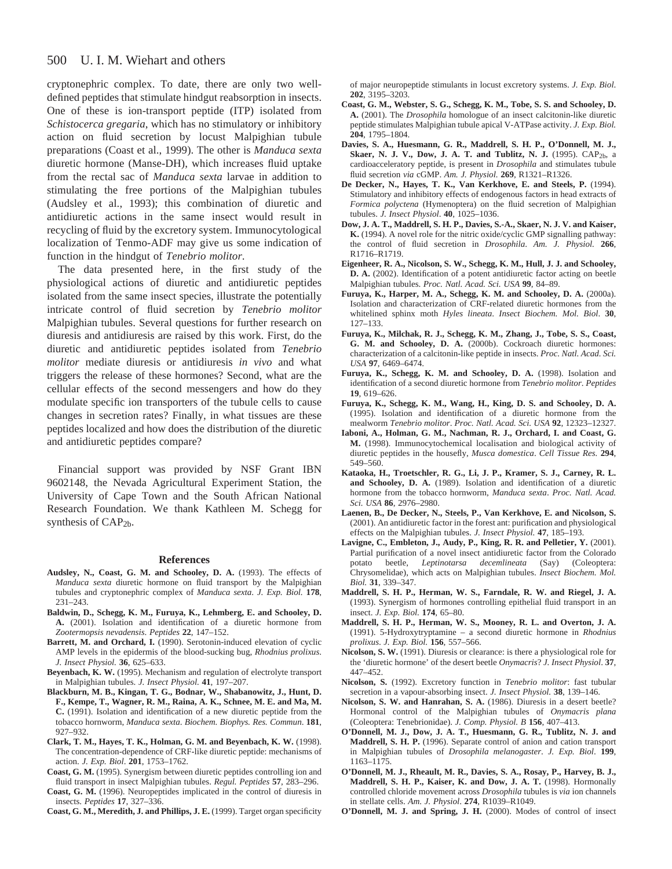#### 500 U. I. M. Wiehart and others

cryptonephric complex. To date, there are only two welldefined peptides that stimulate hindgut reabsorption in insects. One of these is ion-transport peptide (ITP) isolated from *Schistocerca gregaria*, which has no stimulatory or inhibitory action on fluid secretion by locust Malpighian tubule preparations (Coast et al., 1999). The other is *Manduca sexta* diuretic hormone (Manse-DH), which increases fluid uptake from the rectal sac of *Manduca sexta* larvae in addition to stimulating the free portions of the Malpighian tubules (Audsley et al., 1993); this combination of diuretic and antidiuretic actions in the same insect would result in recycling of fluid by the excretory system. Immunocytological localization of Tenmo-ADF may give us some indication of function in the hindgut of *Tenebrio molitor*.

The data presented here, in the first study of the physiological actions of diuretic and antidiuretic peptides isolated from the same insect species, illustrate the potentially intricate control of fluid secretion by *Tenebrio molitor* Malpighian tubules. Several questions for further research on diuresis and antidiuresis are raised by this work. First, do the diuretic and antidiuretic peptides isolated from *Tenebrio molitor* mediate diuresis or antidiuresis *in vivo* and what triggers the release of these hormones? Second, what are the cellular effects of the second messengers and how do they modulate specific ion transporters of the tubule cells to cause changes in secretion rates? Finally, in what tissues are these peptides localized and how does the distribution of the diuretic and antidiuretic peptides compare?

Financial support was provided by NSF Grant IBN 9602148, the Nevada Agricultural Experiment Station, the University of Cape Town and the South African National Research Foundation. We thank Kathleen M. Schegg for synthesis of CAP<sub>2b</sub>.

#### **References**

- **Audsley, N., Coast, G. M. and Schooley, D. A.** (1993). The effects of *Manduca sexta* diuretic hormone on fluid transport by the Malpighian tubules and cryptonephric complex of *Manduca sexta*. *J. Exp. Biol.* **178**, 231–243.
- **Baldwin, D., Schegg, K. M., Furuya, K., Lehmberg, E. and Schooley, D. A.** (2001). Isolation and identification of a diuretic hormone from *Zootermopsis nevadensis*. *Peptides* **22**, 147–152.
- **Barrett, M. and Orchard, I.** (1990). Serotonin-induced elevation of cyclic AMP levels in the epidermis of the blood-sucking bug, *Rhodnius prolixus*. *J. Insect Physiol.* **36**, 625–633.
- **Beyenbach, K. W.** (1995). Mechanism and regulation of electrolyte transport in Malpighian tubules. *J. Insect Physiol.* **41**, 197–207.
- **Blackburn, M. B., Kingan, T. G., Bodnar, W., Shabanowitz, J., Hunt, D. F., Kempe, T., Wagner, R. M., Raina, A. K., Schnee, M. E. and Ma, M. C.** (1991). Isolation and identification of a new diuretic peptide from the tobacco hornworm, *Manduca sexta*. *Biochem. Biophys. Res. Commun*. **181**, 927–932.
- **Clark, T. M., Hayes, T. K., Holman, G. M. and Beyenbach, K. W.** (1998). The concentration-dependence of CRF-like diuretic peptide: mechanisms of action. *J. Exp. Biol*. **201**, 1753–1762.
- **Coast, G. M.** (1995). Synergism between diuretic peptides controlling ion and fluid transport in insect Malpighian tubules. *Regul. Peptides* **57**, 283–296.
- **Coast, G. M.** (1996). Neuropeptides implicated in the control of diuresis in insects. *Peptides* **17**, 327–336.

**Coast, G. M., Meredith, J. and Phillips, J. E.** (1999). Target organ specificity

of major neuropeptide stimulants in locust excretory systems. *J. Exp. Biol*. **202**, 3195–3203.

- **Coast, G. M., Webster, S. G., Schegg, K. M., Tobe, S. S. and Schooley, D. A.** (2001). The *Drosophila* homologue of an insect calcitonin-like diuretic peptide stimulates Malpighian tubule apical V-ATPase activity. *J. Exp. Biol.* **204**, 1795–1804.
- **Davies, S. A., Huesmann, G. R., Maddrell, S. H. P., O'Donnell, M. J., Skaer, N. J. V., Dow, J. A. T. and Tublitz, N. J.** (1995). CAP<sub>2b</sub>, a cardioacceleratory peptide, is present in *Drosophila* and stimulates tubule fluid secretion *via* cGMP. *Am. J. Physiol.* **269**, R1321–R1326.
- **De Decker, N., Hayes, T. K., Van Kerkhove, E. and Steels, P.** (1994). Stimulatory and inhibitory effects of endogenous factors in head extracts of *Formica polyctena* (Hymenoptera) on the fluid secretion of Malpighian tubules. *J. Insect Physiol*. **40**, 1025–1036.
- **Dow, J. A. T., Maddrell, S. H. P., Davies, S.-A., Skaer, N. J. V. and Kaiser, K.** (1994). A novel role for the nitric oxide/cyclic GMP signalling pathway: the control of fluid secretion in *Drosophila*. *Am. J. Physiol.* **266**, R1716–R1719.
- **Eigenheer, R. A., Nicolson, S. W., Schegg, K. M., Hull, J. J. and Schooley, D. A.** (2002). Identification of a potent antidiuretic factor acting on beetle Malpighian tubules. *Proc. Natl. Acad. Sci. USA* **99**, 84–89.
- **Furuya, K., Harper, M. A., Schegg, K. M. and Schooley, D. A.** (2000a). Isolation and characterization of CRF-related diuretic hormones from the whitelined sphinx moth *Hyles lineata*. *Insect Biochem. Mol. Biol*. **30**, 127–133.
- **Furuya, K., Milchak, R. J., Schegg, K. M., Zhang, J., Tobe, S. S., Coast, G. M. and Schooley, D. A.** (2000b). Cockroach diuretic hormones: characterization of a calcitonin-like peptide in insects. *Proc. Natl. Acad. Sci. USA* **97**, 6469–6474.
- **Furuya, K., Schegg, K. M. and Schooley, D. A.** (1998). Isolation and identification of a second diuretic hormone from *Tenebrio molitor*. *Peptides* **19**, 619–626.
- **Furuya, K., Schegg, K. M., Wang, H., King, D. S. and Schooley, D. A.** (1995). Isolation and identification of a diuretic hormone from the mealworm *Tenebrio molitor*. *Proc. Natl. Acad. Sci. USA* **92**, 12323–12327.
- **Iaboni, A., Holman, G. M., Nachman, R. J., Orchard, I. and Coast, G. M.** (1998). Immunocytochemical localisation and biological activity of diuretic peptides in the housefly, *Musca domestica*. *Cell Tissue Res.* **294**, 549–560.
- **Kataoka, H., Troetschler, R. G., Li, J. P., Kramer, S. J., Carney, R. L. and Schooley, D. A.** (1989). Isolation and identification of a diuretic hormone from the tobacco hornworm, *Manduca sexta*. *Proc. Natl. Acad. Sci. USA* **86**, 2976–2980.
- **Laenen, B., De Decker, N., Steels, P., Van Kerkhove, E. and Nicolson, S.** (2001). An antidiuretic factor in the forest ant: purification and physiological effects on the Malpighian tubules. *J. Insect Physiol.* **47**, 185–193.
- **Lavigne, C., Embleton, J., Audy, P., King, R. R. and Pelletier, Y.** (2001). Partial purification of a novel insect antidiuretic factor from the Colorado potato beetle, *Leptinotarsa decembineata* (Say) (Coleontera: beetle, *Leptinotarsa decemlineata* (Say) (Coleoptera: Chrysomelidae), which acts on Malpighian tubules. *Insect Biochem. Mol. Biol.* **31**, 339–347.
- **Maddrell, S. H. P., Herman, W. S., Farndale, R. W. and Riegel, J. A.** (1993). Synergism of hormones controlling epithelial fluid transport in an insect. *J. Exp. Biol.* **174**, 65–80.
- **Maddrell, S. H. P., Herman, W. S., Mooney, R. L. and Overton, J. A.** (1991). 5-Hydroxytryptamine – a second diuretic hormone in *Rhodnius prolixus*. *J. Exp. Biol.* **156**, 557–566.
- **Nicolson, S. W.** (1991). Diuresis or clearance: is there a physiological role for the 'diuretic hormone' of the desert beetle *Onymacris*? *J. Insect Physiol*. **37**, 447–452.
- **Nicolson, S.** (1992). Excretory function in *Tenebrio molitor*: fast tubular secretion in a vapour-absorbing insect. *J. Insect Physiol.* **38**, 139–146.
- **Nicolson, S. W. and Hanrahan, S. A.** (1986). Diuresis in a desert beetle? Hormonal control of the Malpighian tubules of *Onymacris plana* (Coleoptera: Tenebrionidae). *J. Comp. Physiol. B* **156**, 407–413.
- **O'Donnell, M. J., Dow, J. A. T., Huesmann, G. R., Tublitz, N. J. and Maddrell, S. H. P.** (1996). Separate control of anion and cation transport in Malpighian tubules of *Drosophila melanogaster*. *J. Exp. Biol*. **199**, 1163–1175.
- **O'Donnell, M. J., Rheault, M. R., Davies, S. A., Rosay, P., Harvey, B. J., Maddrell, S. H. P., Kaiser, K. and Dow, J. A. T.** (1998). Hormonally controlled chloride movement across *Drosophila* tubules is *via* ion channels in stellate cells. *Am. J. Physiol*. **274**, R1039–R1049.
- **O'Donnell, M. J. and Spring, J. H.** (2000). Modes of control of insect